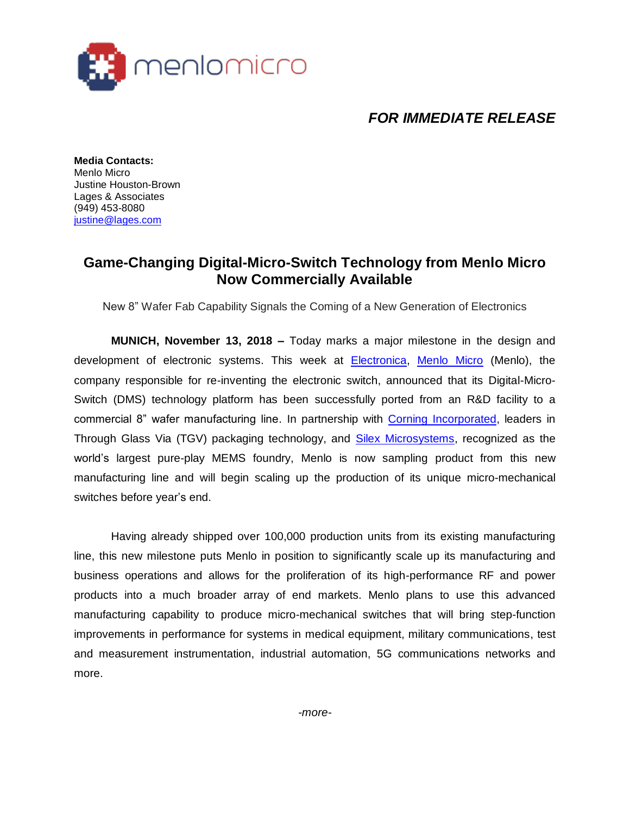

## *FOR IMMEDIATE RELEASE*

**Media Contacts:**  Menlo Micro Justine Houston-Brown Lages & Associates (949) 453-8080 justine@lages.com

# **Game-Changing Digital-Micro-Switch Technology from Menlo Micro Now Commercially Available**

New 8" Wafer Fab Capability Signals the Coming of a New Generation of Electronics

**MUNICH, November 13, 2018 –** Today marks a major milestone in the design and development of electronic systems. This week at [Electronica,](https://electronica.de/trade-fair/information/index.html) [Menlo Micro](http://www.menlomicro.com/) (Menlo), the company responsible for re-inventing the electronic switch, announced that its Digital-Micro-Switch (DMS) technology platform has been successfully ported from an R&D facility to a commercial 8" wafer manufacturing line. In partnership with [Corning Incorporated,](http://www.corning.com/) leaders in Through Glass Via (TGV) packaging technology, and [Silex Microsystems,](http://www.silexmicrosystems.com/) recognized as the world's largest pure-play MEMS foundry, Menlo is now sampling product from this new manufacturing line and will begin scaling up the production of its unique micro-mechanical switches before year's end.

Having already shipped over 100,000 production units from its existing manufacturing line, this new milestone puts Menlo in position to significantly scale up its manufacturing and business operations and allows for the proliferation of its high-performance RF and power products into a much broader array of end markets. Menlo plans to use this advanced manufacturing capability to produce micro-mechanical switches that will bring step-function improvements in performance for systems in medical equipment, military communications, test and measurement instrumentation, industrial automation, 5G communications networks and more.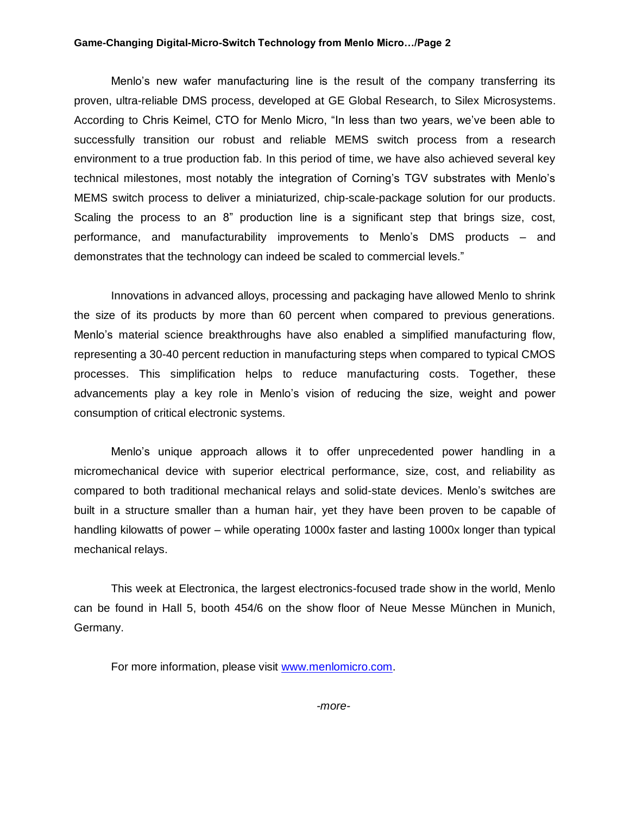#### **Game-Changing Digital-Micro-Switch Technology from Menlo Micro…/Page 2**

Menlo's new wafer manufacturing line is the result of the company transferring its proven, ultra-reliable DMS process, developed at GE Global Research, to Silex Microsystems. According to Chris Keimel, CTO for Menlo Micro, "In less than two years, we've been able to successfully transition our robust and reliable MEMS switch process from a research environment to a true production fab. In this period of time, we have also achieved several key technical milestones, most notably the integration of Corning's TGV substrates with Menlo's MEMS switch process to deliver a miniaturized, chip-scale-package solution for our products. Scaling the process to an 8" production line is a significant step that brings size, cost, performance, and manufacturability improvements to Menlo's DMS products – and demonstrates that the technology can indeed be scaled to commercial levels."

Innovations in advanced alloys, processing and packaging have allowed Menlo to shrink the size of its products by more than 60 percent when compared to previous generations. Menlo's material science breakthroughs have also enabled a simplified manufacturing flow, representing a 30-40 percent reduction in manufacturing steps when compared to typical CMOS processes. This simplification helps to reduce manufacturing costs. Together, these advancements play a key role in Menlo's vision of reducing the size, weight and power consumption of critical electronic systems.

Menlo's unique approach allows it to offer unprecedented power handling in a micromechanical device with superior electrical performance, size, cost, and reliability as compared to both traditional mechanical relays and solid-state devices. Menlo's switches are built in a structure smaller than a human hair, yet they have been proven to be capable of handling kilowatts of power – while operating 1000x faster and lasting 1000x longer than typical mechanical relays.

This week at Electronica, the largest electronics-focused trade show in the world, Menlo can be found in Hall 5, booth 454/6 on the show floor of Neue Messe München in Munich, Germany.

For more information, please visit [www.menlomicro.com.](http://www.menlomicro.com/)

*-more-*